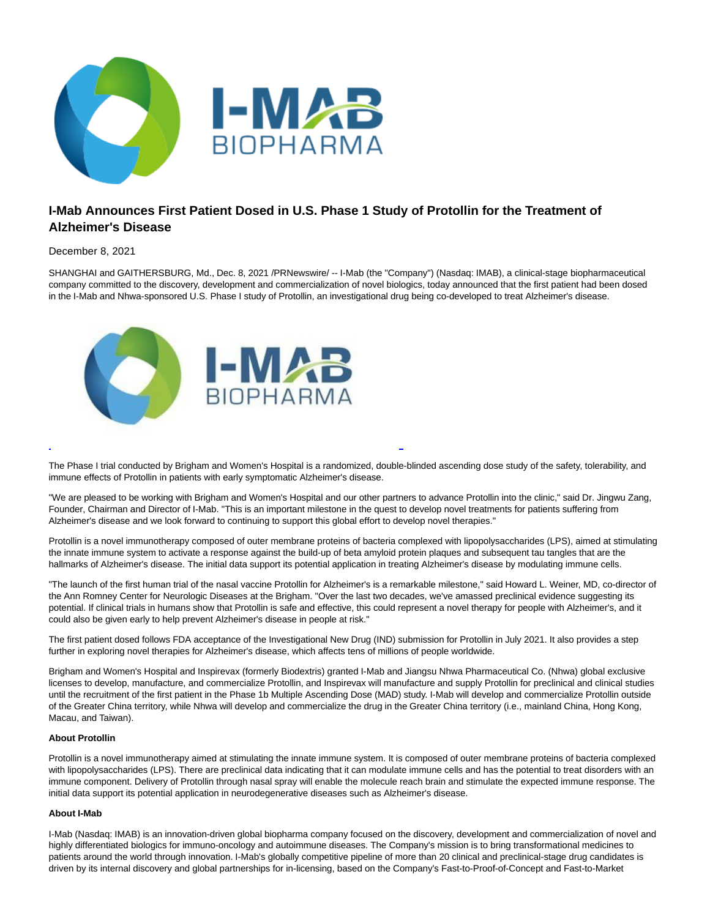

# **I-Mab Announces First Patient Dosed in U.S. Phase 1 Study of Protollin for the Treatment of Alzheimer's Disease**

December 8, 2021

SHANGHAI and GAITHERSBURG, Md., Dec. 8, 2021 /PRNewswire/ -- I-Mab (the "Company") (Nasdaq: IMAB), a clinical-stage biopharmaceutical company committed to the discovery, development and commercialization of novel biologics, today announced that the first patient had been dosed in the I-Mab and Nhwa-sponsored U.S. Phase I study of Protollin, an investigational drug being co-developed to treat Alzheimer's disease.



The Phase I trial conducted by Brigham and Women's Hospital is a randomized, double-blinded ascending dose study of the safety, tolerability, and immune effects of Protollin in patients with early symptomatic Alzheimer's disease.

L

"We are pleased to be working with Brigham and Women's Hospital and our other partners to advance Protollin into the clinic," said Dr. Jingwu Zang, Founder, Chairman and Director of I-Mab. "This is an important milestone in the quest to develop novel treatments for patients suffering from Alzheimer's disease and we look forward to continuing to support this global effort to develop novel therapies."

Protollin is a novel immunotherapy composed of outer membrane proteins of bacteria complexed with lipopolysaccharides (LPS), aimed at stimulating the innate immune system to activate a response against the build-up of beta amyloid protein plaques and subsequent tau tangles that are the hallmarks of Alzheimer's disease. The initial data support its potential application in treating Alzheimer's disease by modulating immune cells.

"The launch of the first human trial of the nasal vaccine Protollin for Alzheimer's is a remarkable milestone," said Howard L. Weiner, MD, co-director of the Ann Romney Center for Neurologic Diseases at the Brigham. "Over the last two decades, we've amassed preclinical evidence suggesting its potential. If clinical trials in humans show that Protollin is safe and effective, this could represent a novel therapy for people with Alzheimer's, and it could also be given early to help prevent Alzheimer's disease in people at risk."

The first patient dosed follows FDA acceptance of the Investigational New Drug (IND) submission for Protollin in July 2021. It also provides a step further in exploring novel therapies for Alzheimer's disease, which affects tens of millions of people worldwide.

Brigham and Women's Hospital and Inspirevax (formerly Biodextris) granted I-Mab and Jiangsu Nhwa Pharmaceutical Co. (Nhwa) global exclusive licenses to develop, manufacture, and commercialize Protollin, and Inspirevax will manufacture and supply Protollin for preclinical and clinical studies until the recruitment of the first patient in the Phase 1b Multiple Ascending Dose (MAD) study. I-Mab will develop and commercialize Protollin outside of the Greater China territory, while Nhwa will develop and commercialize the drug in the Greater China territory (i.e., mainland China, Hong Kong, Macau, and Taiwan).

# **About Protollin**

Protollin is a novel immunotherapy aimed at stimulating the innate immune system. It is composed of outer membrane proteins of bacteria complexed with lipopolysaccharides (LPS). There are preclinical data indicating that it can modulate immune cells and has the potential to treat disorders with an immune component. Delivery of Protollin through nasal spray will enable the molecule reach brain and stimulate the expected immune response. The initial data support its potential application in neurodegenerative diseases such as Alzheimer's disease.

## **About I-Mab**

I-Mab (Nasdaq: IMAB) is an innovation-driven global biopharma company focused on the discovery, development and commercialization of novel and highly differentiated biologics for immuno-oncology and autoimmune diseases. The Company's mission is to bring transformational medicines to patients around the world through innovation. I-Mab's globally competitive pipeline of more than 20 clinical and preclinical-stage drug candidates is driven by its internal discovery and global partnerships for in-licensing, based on the Company's Fast-to-Proof-of-Concept and Fast-to-Market